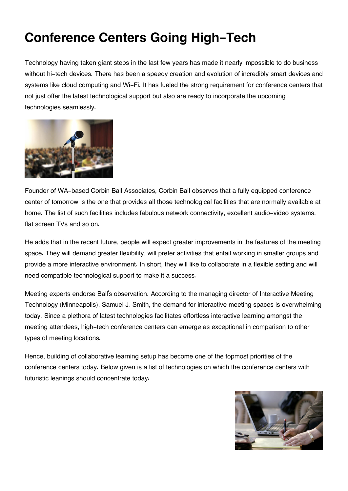# **Conference Centers Going High-Tech**

Technology having taken giant steps in the last few years has made it nearly impossible to do business without hi-tech devices. There has been a speedy creation and evolution of incredibly smart devices and systems like cloud computing and Wi-Fi. It has fueled the strong requirement for conference centers that not just offer the latest technological support but also are ready to incorporate the upcoming technologies seamlessly.



Founder of WA-based Corbin Ball Associates, Corbin Ball observes that a fully equipped conference center of tomorrow is the one that provides all those technological facilities that are normally available at home. The list of such facilities includes fabulous network connectivity, excellent audio-video systems, flat screen TVs and so on.

He adds that in the recent future, people will expect greater improvements in the features of the meeting space. They will demand greater flexibility, will prefer activities that entail working in smaller groups and provide a more interactive environment. In short, they will like to collaborate in a flexible setting and will need compatible technological support to make it a success.

Meeting experts endorse Ball's observation. According to the managing director of Interactive Meeting Technology (Minneapolis), Samuel J. Smith, the demand for interactive meeting spaces is overwhelming today. Since a plethora of latest technologies facilitates effortless interactive learning amongst the meeting attendees, high-tech conference centers can emerge as exceptional in comparison to other types of meeting locations.

Hence, building of collaborative learning setup has become one of the topmost priorities of the conference centers today. Below given is a list of technologies on which the conference centers with futuristic leanings should concentrate today:

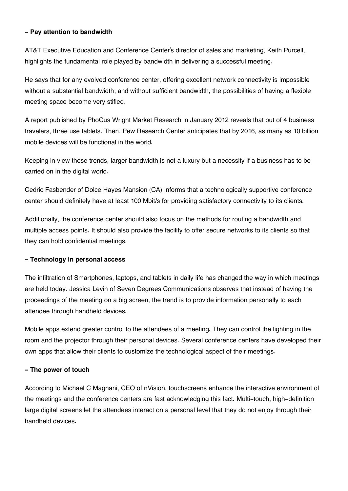## **- Pay attention to bandwidth**

AT&T Executive Education and Conference Center's director of sales and marketing, Keith Purcell, highlights the fundamental role played by bandwidth in delivering a successful meeting.

He says that for any evolved conference center, offering excellent network connectivity is impossible without a substantial bandwidth; and without sufficient bandwidth, the possibilities of having a flexible meeting space become very stifled.

A report published by PhoCus Wright Market Research in January 2012 reveals that out of 4 business travelers, three use tablets. Then, Pew Research Center anticipates that by 2016, as many as 10 billion mobile devices will be functional in the world.

Keeping in view these trends, larger bandwidth is not a luxury but a necessity if a business has to be carried on in the digital world.

Cedric Fasbender of Dolce Hayes Mansion (CA) informs that a technologically supportive conference center should definitely have at least 100 Mbit/s for providing satisfactory connectivity to its clients.

Additionally, the conference center should also focus on the methods for routing a bandwidth and multiple access points. It should also provide the facility to offer secure networks to its clients so that they can hold confidential meetings.

# **- Technology in personal access**

The infiltration of Smartphones, laptops, and tablets in daily life has changed the way in which meetings are held today. Jessica Levin of Seven Degrees Communications observes that instead of having the proceedings of the meeting on a big screen, the trend is to provide information personally to each attendee through handheld devices.

Mobile apps extend greater control to the attendees of a meeting. They can control the lighting in the room and the projector through their personal devices. Several conference centers have developed their own apps that allow their clients to customize the technological aspect of their meetings.

#### **- The power of touch**

According to Michael C Magnani, CEO of nVision, touchscreens enhance the interactive environment of the meetings and the conference centers are fast acknowledging this fact. Multi-touch, high-definition large digital screens let the attendees interact on a personal level that they do not enjoy through their handheld devices.